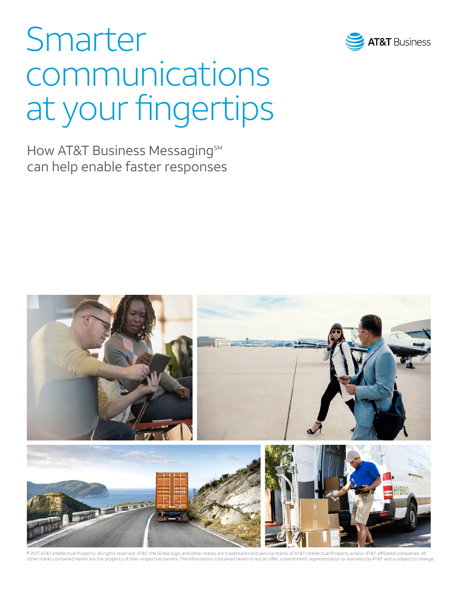

# Smarter communications at your fingertips

How AT&T Business Messaging<sup>SM</sup> can help enable faster responses



© 2017 AT&T Intellectual Property. All rights reserved. AT&T, the Globe logo, and other marks are trademarks and service marks of AT&T Intellectual Property and/or AT&T affiliated companies. All other marks contained herein are the property of their respective owners. The information contained herein is not an offer, commitment, representation or warranty by AT&T and is subject to change.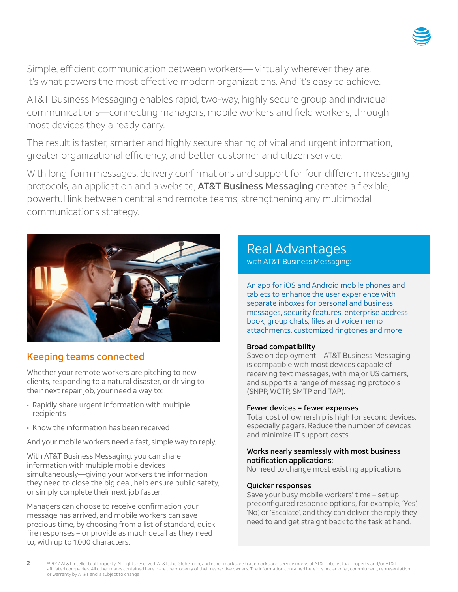

Simple, efficient communication between workers— virtually wherever they are. It's what powers the most effective modern organizations. And it's easy to achieve.

AT&T Business Messaging enables rapid, two-way, highly secure group and individual communications—connecting managers, mobile workers and field workers, through most devices they already carry.

The result is faster, smarter and highly secure sharing of vital and urgent information, greater organizational efficiency, and better customer and citizen service.

With long-form messages, delivery confirmations and support for four different messaging protocols, an application and a website, AT&T Business Messaging creates a flexible, powerful link between central and remote teams, strengthening any multimodal communications strategy.



## Keeping teams connected

Whether your remote workers are pitching to new clients, responding to a natural disaster, or driving to their next repair job, your need a way to:

- Rapidly share urgent information with multiple recipients
- Know the information has been received

2

And your mobile workers need a fast, simple way to reply.

With AT&T Business Messaging, you can share information with multiple mobile devices simultaneously—giving your workers the information they need to close the big deal, help ensure public safety, or simply complete their next job faster.

Managers can choose to receive confirmation your message has arrived, and mobile workers can save precious time, by choosing from a list of standard, quickfire responses – or provide as much detail as they need to, with up to 1,000 characters.

## Real Advantages with AT&T Business Messaging: with AT&T Business Messaging:

An app for iOS and Android mobile phones and tablets to enhance the user experience with separate inboxes for personal and business messages, security features, enterprise address book, group chats, files and voice memo attachments, customized ringtones and more

## Broad compatibility

Save on deployment—AT&T Business Messaging is compatible with most devices capable of receiving text messages, with major US carriers, and supports a range of messaging protocols (SNPP, WCTP, SMTP and TAP).

## Fewer devices = fewer expenses

Total cost of ownership is high for second devices, especially pagers. Reduce the number of devices and minimize IT support costs.

## Works nearly seamlessly with most business notification applications:

No need to change most existing applications

## Quicker responses

Save your busy mobile workers' time – set up preconfigured response options, for example, 'Yes', 'No', or 'Escalate', and they can deliver the reply they need to and get straight back to the task at hand.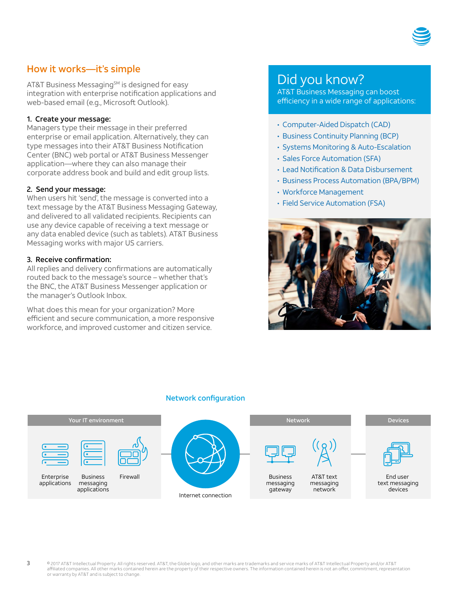

## How it works—it's simple

AT&T Business Messaging<sup>SM</sup> is designed for easy integration with enterprise notification applications and web-based email (e.g., Microsoft Outlook).

#### 1. Create your message:

Managers type their message in their preferred enterprise or email application. Alternatively, they can type messages into their AT&T Business Notification Center (BNC) web portal or AT&T Business Messenger application—where they can also manage their corporate address book and build and edit group lists.

## 2. Send your message:

When users hit 'send', the message is converted into a text message by the AT&T Business Messaging Gateway, and delivered to all validated recipients. Recipients can use any device capable of receiving a text message or any data enabled device (such as tablets). AT&T Business Messaging works with major US carriers.

#### 3. Receive confirmation:

3

All replies and delivery confirmations are automatically routed back to the message's source – whether that's the BNC, the AT&T Business Messenger application or the manager's Outlook Inbox.

What does this mean for your organization? More efficient and secure communication, a more responsive workforce, and improved customer and citizen service.

## Did you know?

AT&T Business Messaging can boost AT&T Business Messaging can boost efficiency in a wide range of applications:

- Computer-Aided Dispatch (CAD)
- Business Continuity Planning (BCP)
- Systems Monitoring & Auto-Escalation
- Sales Force Automation (SFA)
- Lead Notification & Data Disbursement
- Business Process Automation (BPA/BPM)
- Workforce Management
- Field Service Automation (FSA)



#### Network configuration